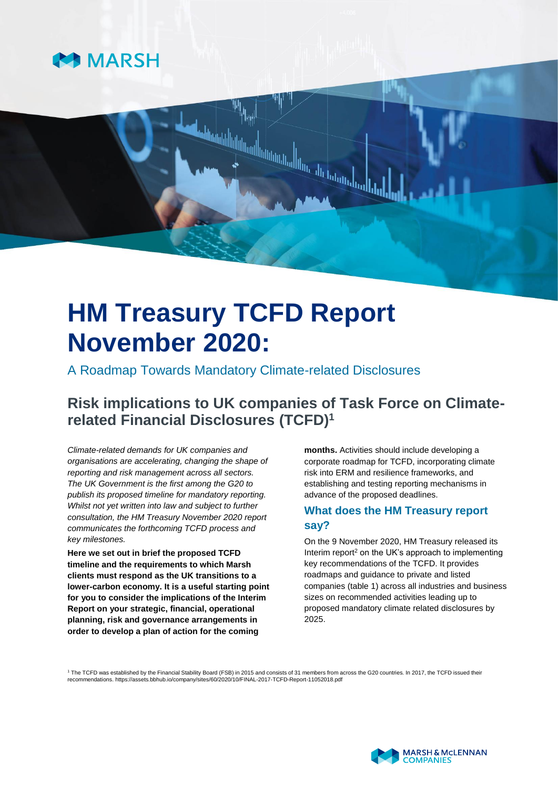

# **HM Treasury TCFD Report November 2020:**

A Roadmap Towards Mandatory Climate-related Disclosures

# **Risk implications to UK companies of Task Force on Climaterelated Financial Disclosures (TCFD)<sup>1</sup>**

*Climate-related demands for UK companies and organisations are accelerating, changing the shape of reporting and risk management across all sectors. The UK Government is the first among the G20 to publish its proposed timeline for mandatory reporting. Whilst not yet written into law and subject to further consultation, the HM Treasury November 2020 report communicates the forthcoming TCFD process and key milestones.* 

**Here we set out in brief the proposed TCFD timeline and the requirements to which Marsh clients must respond as the UK transitions to a lower-carbon economy. It is a useful starting point for you to consider the implications of the Interim Report on your strategic, financial, operational planning, risk and governance arrangements in order to develop a plan of action for the coming** 

**months.** Activities should include developing a corporate roadmap for TCFD, incorporating climate risk into ERM and resilience frameworks, and establishing and testing reporting mechanisms in advance of the proposed deadlines.

## **What does the HM Treasury report say?**

On the 9 November 2020, HM Treasury released its Interim report<sup>2</sup> on the UK's approach to implementing key recommendations of the TCFD. It provides roadmaps and guidance to private and listed companies (table 1) across all industries and business sizes on recommended activities leading up to proposed mandatory climate related disclosures by 2025.

<sup>1</sup> The TCFD was established by the Financial Stability Board (FSB) in 2015 and consists of 31 members from across the G20 countries. In 2017, the TCFD issued their recommendations. <https://assets.bbhub.io/company/sites/60/2020/10/FINAL-2017-TCFD-Report-11052018.pdf>

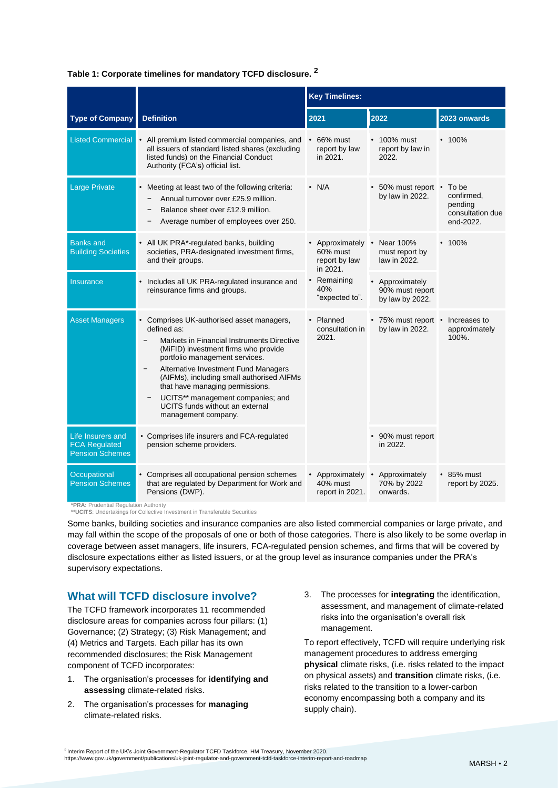#### **Table 1: Corporate timelines for mandatory TCFD disclosure. <sup>2</sup>**

|                                                                                 |                                                                                                                                                                                                                                                                                                                                                                                                       | <b>Key Timelines:</b>                                  |                                                       |                                                                 |
|---------------------------------------------------------------------------------|-------------------------------------------------------------------------------------------------------------------------------------------------------------------------------------------------------------------------------------------------------------------------------------------------------------------------------------------------------------------------------------------------------|--------------------------------------------------------|-------------------------------------------------------|-----------------------------------------------------------------|
| <b>Type of Company</b>                                                          | <b>Definition</b>                                                                                                                                                                                                                                                                                                                                                                                     | 2021                                                   | 2022                                                  | 2023 onwards                                                    |
| <b>Listed Commercial</b>                                                        | All premium listed commercial companies, and<br>all issuers of standard listed shares (excluding<br>listed funds) on the Financial Conduct<br>Authority (FCA's) official list.                                                                                                                                                                                                                        | 66% must<br>report by law<br>in 2021.                  | $\cdot$ 100% must<br>report by law in<br>2022.        | $\cdot$ 100%                                                    |
| <b>Large Private</b>                                                            | Meeting at least two of the following criteria:<br>$\bullet$<br>Annual turnover over £25.9 million.<br>Balance sheet over £12.9 million.<br>Average number of employees over 250.                                                                                                                                                                                                                     | $\cdot$ N/A                                            | • 50% must report •<br>by law in 2022.                | To be<br>confirmed,<br>pending<br>consultation due<br>end-2022. |
| <b>Banks and</b><br><b>Building Societies</b>                                   | All UK PRA*-regulated banks, building<br>societies, PRA-designated investment firms,<br>and their groups.                                                                                                                                                                                                                                                                                             | Approximately<br>60% must<br>report by law<br>in 2021. | Near 100%<br>must report by<br>law in 2022.           | $\cdot$ 100%                                                    |
| <b>Insurance</b>                                                                | Includes all UK PRA-regulated insurance and<br>reinsurance firms and groups.                                                                                                                                                                                                                                                                                                                          | Remaining<br>40%<br>"expected to".                     | • Approximately<br>90% must report<br>by law by 2022. |                                                                 |
| <b>Asset Managers</b>                                                           | Comprises UK-authorised asset managers,<br>defined as:<br>Markets in Financial Instruments Directive<br>(MiFID) investment firms who provide<br>portfolio management services.<br>Alternative Investment Fund Managers<br>(AIFMs), including small authorised AIFMs<br>that have managing permissions.<br>UCITS** management companies; and<br>UCITS funds without an external<br>management company. | Planned<br>consultation in<br>2021.                    | • 75% must report •<br>by law in 2022.                | Increases to<br>approximately<br>100%.                          |
| Life Insurers and<br><b>FCA Regulated</b><br><b>Pension Schemes</b>             | • Comprises life insurers and FCA-regulated<br>pension scheme providers.                                                                                                                                                                                                                                                                                                                              |                                                        | • 90% must report<br>in 2022.                         |                                                                 |
| Occupational<br><b>Pension Schemes</b><br>*PRA: Prudential Regulation Authority | Comprises all occupational pension schemes<br>that are regulated by Department for Work and<br>Pensions (DWP).                                                                                                                                                                                                                                                                                        | Approximately •<br>40% must<br>report in 2021.         | Approximately<br>70% by 2022<br>onwards.              | $\cdot$ 85% must<br>report by 2025.                             |

**\*\*UCITS**: Undertakings for Collective Investment in Transferable Securities

Some banks, building societies and insurance companies are also listed commercial companies or large private, and may fall within the scope of the proposals of one or both of those categories. There is also likely to be some overlap in coverage between asset managers, life insurers, FCA-regulated pension schemes, and firms that will be covered by disclosure expectations either as listed issuers, or at the group level as insurance companies under the PRA's supervisory expectations.

#### **What will TCFD disclosure involve?**

The TCFD framework incorporates 11 recommended disclosure areas for companies across four pillars: (1) Governance; (2) Strategy; (3) Risk Management; and (4) Metrics and Targets. Each pillar has its own recommended disclosures; the Risk Management component of TCFD incorporates:

- 1. The organisation's processes for **identifying and assessing** climate-related risks.
- 2. The organisation's processes for **managing**  climate-related risks.

3. The processes for **integrating** the identification, assessment, and management of climate-related risks into the organisation's overall risk management.

To report effectively, TCFD will require underlying risk management procedures to address emerging **physical** climate risks, (i.e. risks related to the impact on physical assets) and **transition** climate risks, (i.e. risks related to the transition to a lower-carbon economy encompassing both a company and its supply chain).